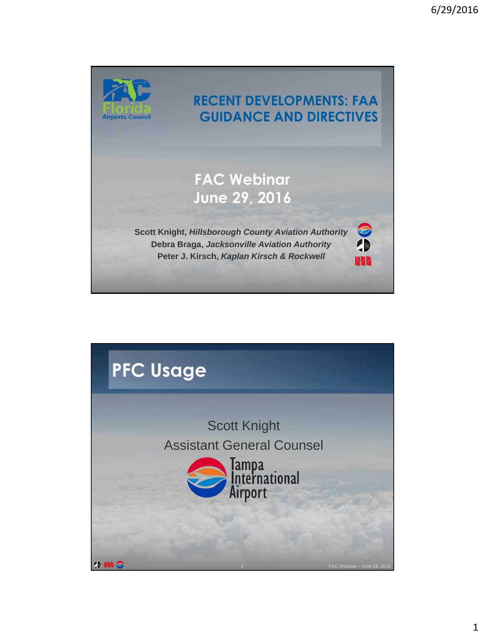

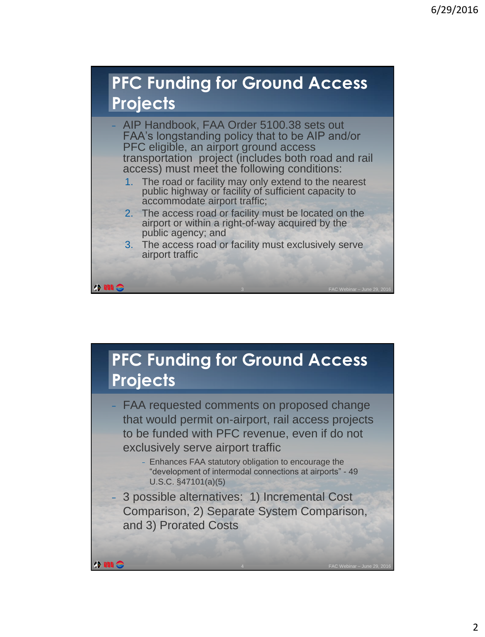#### **PFC Funding for Ground Access Projects**



- 1. The road or facility may only extend to the nearest public highway or facility of sufficient capacity to accommodate airport traffic;
- 2. The access road or facility must be located on the airport or within a right-of-way acquired by the public agency; and
- 3. The access road or facility must exclusively serve airport traffic

#### **PFC Funding for Ground Access Projects**

FAA requested comments on proposed change that would permit on-airport, rail access projects to be funded with PFC revenue, even if do not exclusively serve airport traffic

> <sup>−</sup> Enhances FAA statutory obligation to encourage the "development of intermodal connections at airports" - 49 U.S.C. §47101(a)(5)

> > 4 FAC Webinar – June 29, 2016

<sup>−</sup> 3 possible alternatives: 1) Incremental Cost Comparison, 2) Separate System Comparison, and 3) Prorated Costs

**ONIC** 

**ONIC**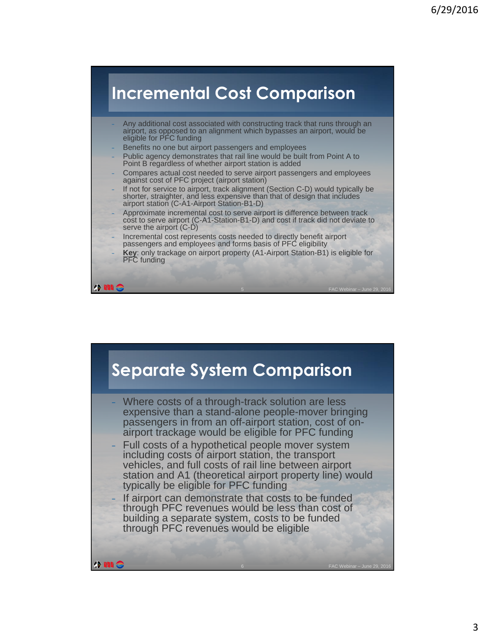#### **Incremental Cost Comparison**

- Any additional cost associated with constructing track that runs through an airport, as opposed to an alignment which bypasses an airport, would be eligible for PFC funding
- Benefits no one but airport passengers and employees

**IN 1989** 

- Public agency demonstrates that rail line would be built from Point A to Point B regardless of whether airport station is added
- Compares actual cost needed to serve airport passengers and employees against cost of PFC project (airport station)
- <sup>−</sup> If not for service to airport, track alignment (Section C-D) would typically be shorter, straighter, and less expensive than that of design that includes airport station (C-A1-Airport Station-B1-D)
- <sup>−</sup> Approximate incremental cost to serve airport is difference between track cost to serve airport (C-A1-Station-B1-D) and cost if track did not deviate to serve the airport (C-D)
- <sup>−</sup> Incremental cost represents costs needed to directly benefit airport passengers and employees and forms basis of PFC eligibility
- Key: only trackage on airport property (A1-Airport Station-B1) is eligible for PFC funding

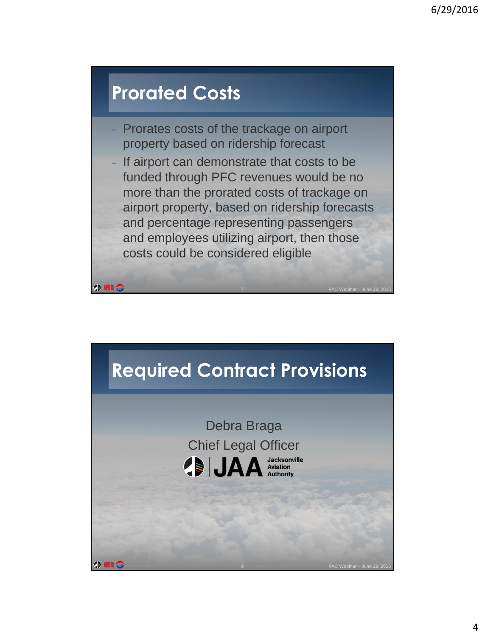#### **Prorated Costs**

 $\bullet$  MI  $\epsilon$ 

- Prorates costs of the trackage on airport property based on ridership forecast
- If airport can demonstrate that costs to be funded through PFC revenues would be no more than the prorated costs of trackage on airport property, based on ridership forecasts and percentage representing passengers and employees utilizing airport, then those costs could be considered eligible

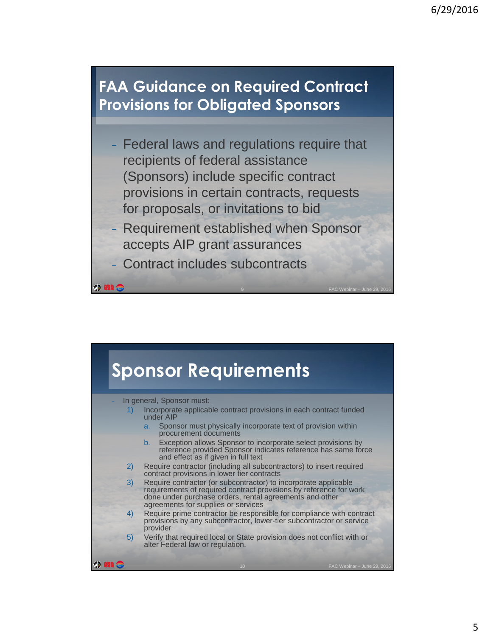#### **FAA Guidance on Required Contract Provisions for Obligated Sponsors**

- Federal laws and regulations require that recipients of federal assistance (Sponsors) include specific contract provisions in certain contracts, requests for proposals, or invitations to bid
- <sup>−</sup> Requirement established when Sponsor accepts AIP grant assurances
	- <sup>−</sup> Contract includes subcontracts

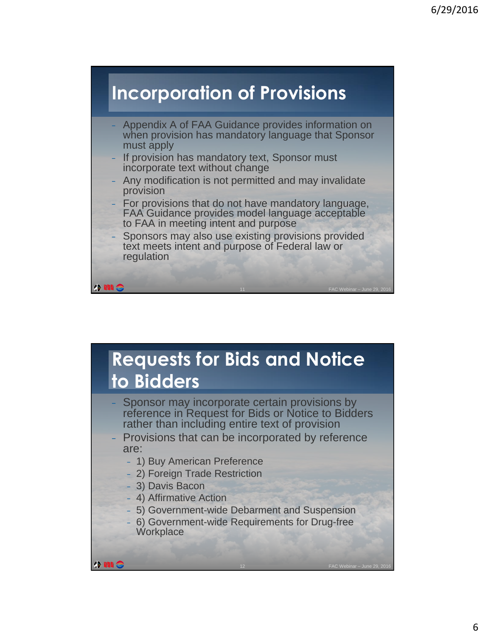

# **Requests for Bids and Notice to Bidders**

- Sponsor may incorporate certain provisions by reference in Request for Bids or Notice to Bidders rather than including entire text of provision
- <sup>−</sup> Provisions that can be incorporated by reference are:
	- <sup>−</sup> 1) Buy American Preference
	- <sup>−</sup> 2) Foreign Trade Restriction
	- <sup>−</sup> 3) Davis Bacon
	- <sup>−</sup> 4) Affirmative Action
	- <sup>−</sup> 5) Government-wide Debarment and Suspension
	- <sup>−</sup> 6) Government-wide Requirements for Drug-free **Workplace**

12 FAC Webinar – June 29, 2016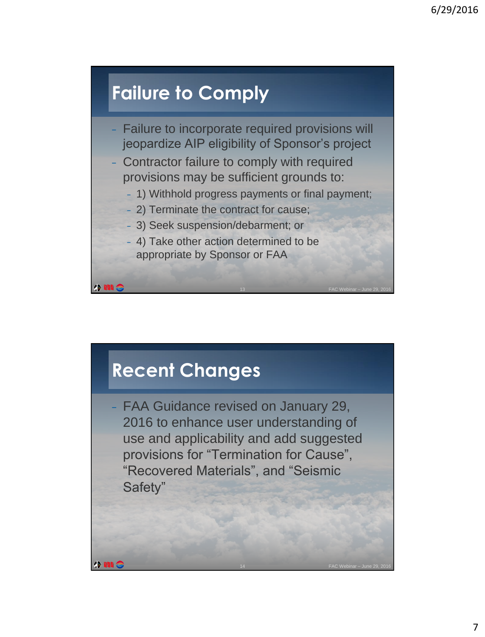## **Failure to Comply**

- Failure to incorporate required provisions will jeopardize AIP eligibility of Sponsor's project
- <sup>−</sup> Contractor failure to comply with required provisions may be sufficient grounds to:
	- <sup>−</sup> 1) Withhold progress payments or final payment;
	- <sup>−</sup> 2) Terminate the contract for cause;
	- <sup>−</sup> 3) Seek suspension/debarment; or
	- <sup>−</sup> 4) Take other action determined to be appropriate by Sponsor or FAA

### **Recent Changes**

<sup>−</sup> FAA Guidance revised on January 29, 2016 to enhance user understanding of use and applicability and add suggested provisions for "Termination for Cause", "Recovered Materials", and "Seismic Safety"

14 FAC Webinar – June 29, 2016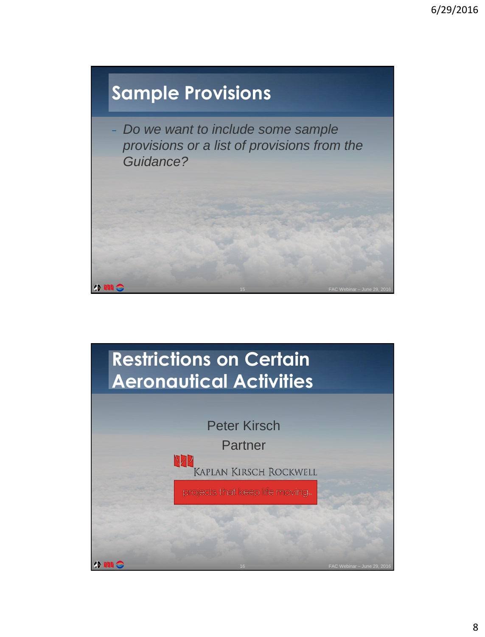

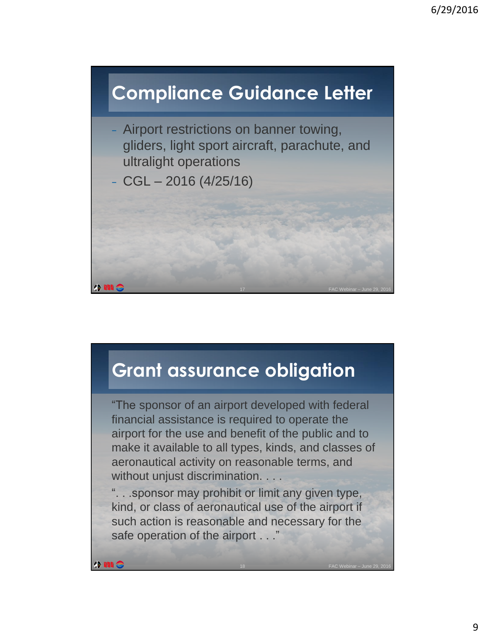

## **Grant assurance obligation**

"The sponsor of an airport developed with federal financial assistance is required to operate the airport for the use and benefit of the public and to make it available to all types, kinds, and classes of aeronautical activity on reasonable terms, and without unjust discrimination. . . .

". . .sponsor may prohibit or limit any given type, kind, or class of aeronautical use of the airport if such action is reasonable and necessary for the safe operation of the airport . . ."

**ONIS** 

18 FAC Webinar – June 29, 2016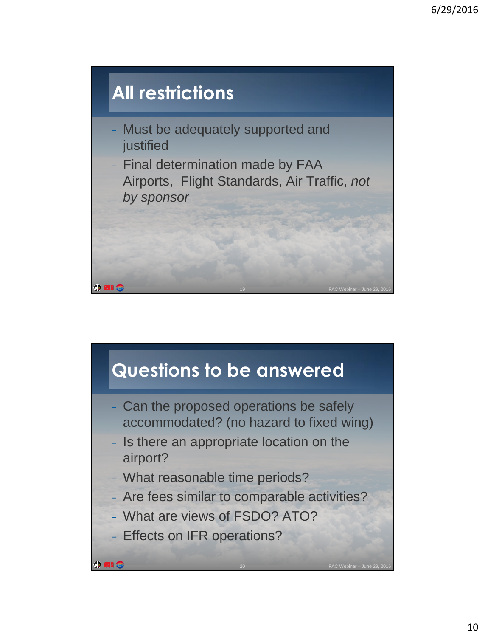

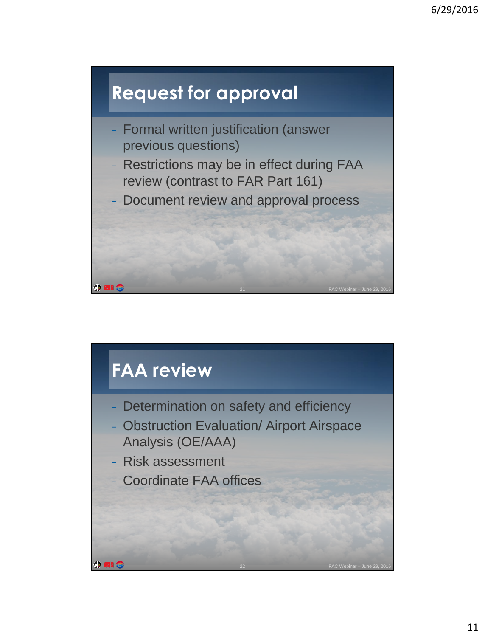

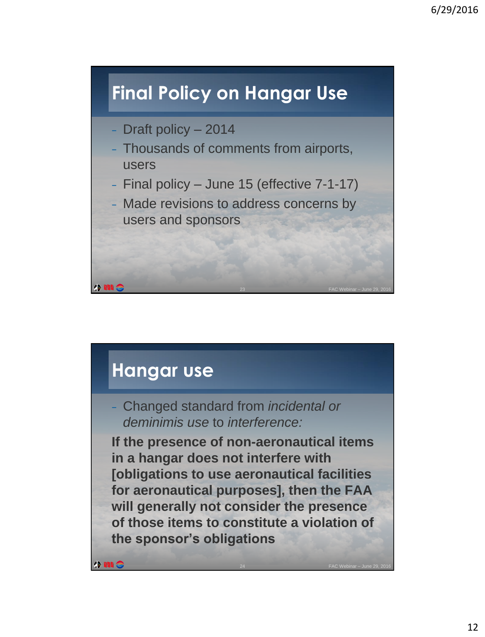## **Final Policy on Hangar Use**

- <sup>−</sup> Draft policy 2014
- <sup>−</sup> Thousands of comments from airports, users
- <sup>−</sup> Final policy June 15 (effective 7-1-17)
- <sup>−</sup> Made revisions to address concerns by users and sponsors

#### **Hangar use**

<sup>−</sup> Changed standard from *incidental or deminimis use* to *interference:*

**If the presence of non-aeronautical items in a hangar does not interfere with [obligations to use aeronautical facilities for aeronautical purposes], then the FAA will generally not consider the presence of those items to constitute a violation of the sponsor's obligations**

24 FAC Webinar – June 29, 2016

 $\bullet$   $\mathbf{m}$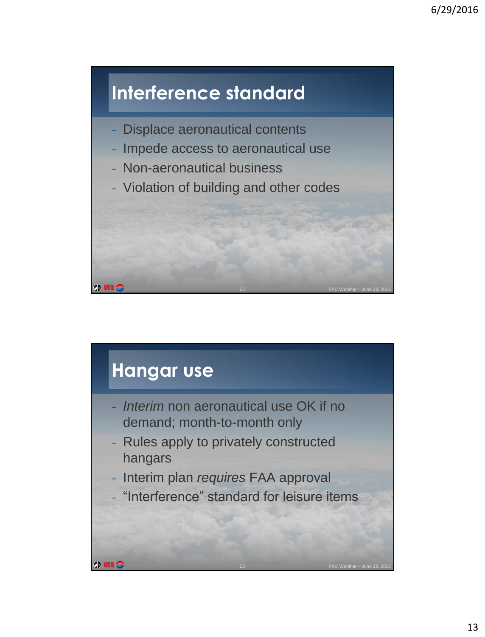